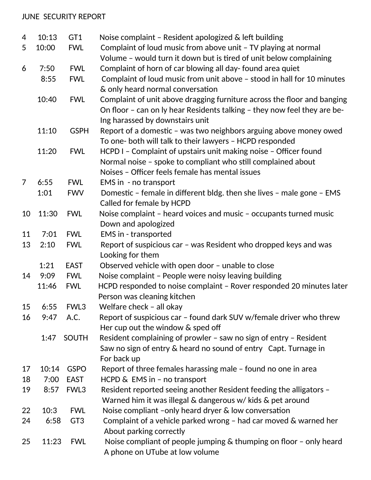## JUNE SECURITY REPORT

| 4  | 10:13 | GT <sub>1</sub>  | Noise complaint - Resident apologized & left building                    |
|----|-------|------------------|--------------------------------------------------------------------------|
| 5  | 10:00 | <b>FWL</b>       | Complaint of loud music from above unit - TV playing at normal           |
|    |       |                  | Volume - would turn it down but is tired of unit below complaining       |
| 6  | 7:50  | <b>FWL</b>       | Complaint of horn of car blowing all day- found area quiet               |
|    | 8:55  | <b>FWL</b>       | Complaint of loud music from unit above - stood in hall for 10 minutes   |
|    |       |                  | & only heard normal conversation                                         |
|    | 10:40 | <b>FWL</b>       | Complaint of unit above dragging furniture across the floor and banging  |
|    |       |                  | On floor - can on ly hear Residents talking - they now feel they are be- |
|    |       |                  | Ing harassed by downstairs unit                                          |
|    | 11:10 | <b>GSPH</b>      | Report of a domestic - was two neighbors arguing above money owed        |
|    |       |                  | To one- both will talk to their lawyers - HCPD responded                 |
|    | 11:20 | <b>FWL</b>       | HCPD I - Complaint of upstairs unit making noise - Officer found         |
|    |       |                  | Normal noise - spoke to compliant who still complained about             |
|    |       |                  | Noises - Officer feels female has mental issues                          |
| 7  | 6:55  | <b>FWL</b>       | EMS in - no transport                                                    |
|    | 1:01  | <b>FWV</b>       | Domestic - female in different bldg. then she lives - male gone - EMS    |
|    |       |                  | Called for female by HCPD                                                |
| 10 | 11:30 | <b>FWL</b>       | Noise complaint - heard voices and music - occupants turned music        |
|    |       |                  | Down and apologized                                                      |
| 11 | 7:01  | <b>FWL</b>       | EMS in - transported                                                     |
| 13 | 2:10  | <b>FWL</b>       | Report of suspicious car - was Resident who dropped keys and was         |
|    |       |                  | Looking for them                                                         |
|    | 1:21  | <b>EAST</b>      | Observed vehicle with open door - unable to close                        |
| 14 | 9:09  | <b>FWL</b>       | Noise complaint - People were noisy leaving building                     |
|    | 11:46 | <b>FWL</b>       | HCPD responded to noise complaint - Rover responded 20 minutes later     |
|    |       |                  | Person was cleaning kitchen                                              |
| 15 | 6:55  | FWL3             | Welfare check - all okay                                                 |
| 16 | 9:47  | A.C.             | Report of suspicious car - found dark SUV w/female driver who threw      |
|    |       |                  | Her cup out the window & sped off                                        |
|    | 1:47  | <b>SOUTH</b>     | Resident complaining of prowler - saw no sign of entry - Resident        |
|    |       |                  | Saw no sign of entry & heard no sound of entry Capt. Turnage in          |
|    |       |                  | For back up                                                              |
| 17 | 10:14 | <b>GSPO</b>      | Report of three females harassing male - found no one in area            |
| 18 | 7:00  | <b>EAST</b>      | HCPD & EMS in - no transport                                             |
| 19 | 8:57  | FWL <sub>3</sub> | Resident reported seeing another Resident feeding the alligators -       |
|    |       |                  | Warned him it was illegal & dangerous w/ kids & pet around               |
| 22 | 10:3  | <b>FWL</b>       | Noise compliant -only heard dryer & low conversation                     |
| 24 | 6:58  | GT <sub>3</sub>  | Complaint of a vehicle parked wrong - had car moved & warned her         |
|    |       |                  | About parking correctly                                                  |
| 25 | 11:23 | <b>FWL</b>       | Noise compliant of people jumping $\&$ thumping on floor $-$ only heard  |
|    |       |                  | A phone on UTube at low volume                                           |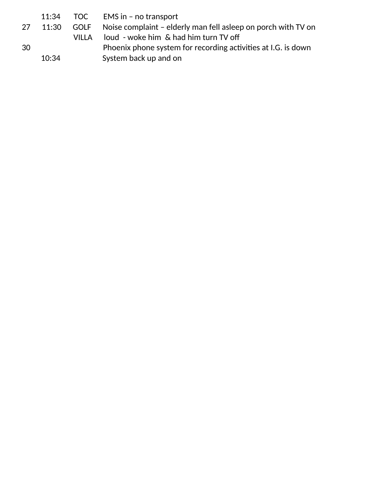|    | 11:34 |         | TOC EMS in - no transport                                          |
|----|-------|---------|--------------------------------------------------------------------|
| 27 | 11:30 |         | GOLF Noise complaint - elderly man fell asleep on porch with TV on |
|    |       | VII I A | loud - woke him & had him turn TV off                              |
| 30 |       |         | Phoenix phone system for recording activities at I.G. is down      |
|    | 10:34 |         | System back up and on                                              |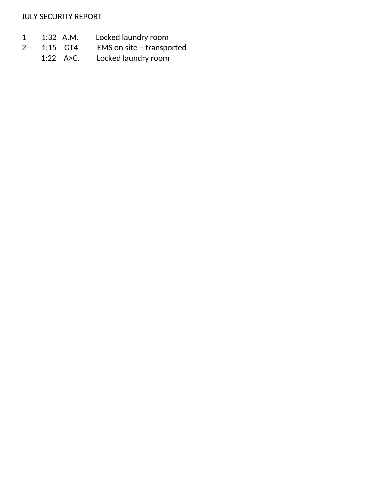JULY SECURITY REPORT

- 1 1:32 A.M. Locked laundry room<br>2 1:15 GT4 EMS on site transpc
- EMS on site transported
	- 1:22 A>C. Locked laundry room